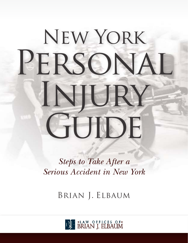# New York PERSONAL Injury GUIDE

*Steps to Take After a Serious Accident in New York*

Brian J. Elbaum

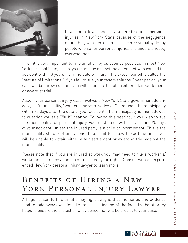

If you or a loved one has suffered serious personal injuries in New York State because of the negligence of another, we offer our most sincere sympathy. Many people who suffer personal injuries are understandably overwhelmed.

First, it is very important to hire an attorney as soon as possible. In most New York personal injury cases, you must sue against the defendant who caused the accident within 3 years from the date of injury. This 3-year period is called the "statute of limitations." If you fail to sue your case within the 3 year period, your case will be thrown out and you will be unable to obtain either a fair settlement, or award at trial.

Also, if your personal injury case involves a New York State government defendant, or "municipality," you must serve a Notice of Claim upon the municipality within 90 days after the date of your accident. The municipality is then allowed to question you at a "50-h" hearing. Following this hearing, if you wish to sue the municipality for personal injury, you must do so within 1 year and 90 days of your accident, unless the injured party is a child or incompetent. This is the municipality statute of limitations. If you fail to follow these time-lines, you will be unable to obtain either a fair settlement or award at trial against the municipality.

Please note that if you are injured at work you may need to file a worker's/ workman's compensation claim to protect your rights. Consult with an experienced New York personal injury lawyer to learn more.

## BENEFITS OF HIRING A NEW YORK PERSONAL INJURY LAWYER

A huge reason to hire an attorney right away is that memories and evidence tend to fade away over time. Prompt investigation of the facts by the attorney helps to ensure the protection of evidence that will be crucial to your case.

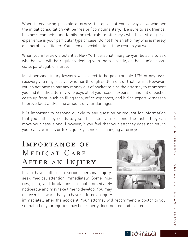When interviewing possible attorneys to represent you, always ask whether the initial consultation will be free or "complimentary." Be sure to ask friends, business contacts, and family for referrals to attorneys who have strong trial experience in your particular type of case. Do not hire an attorney who is merely a general practitioner. You need a specialist to get the results you want.

When you interview a potential New York personal injury lawyer, be sure to ask whether you will be regularly dealing with them directly, or their junior associate, paralegal, or nurse.

Most personal injury lawyers will expect to be paid roughly 1/3<sup>rd</sup> of any legal recovery you may receive, whether through settlement or trial award. However, you do not have to pay any money out of pocket to hire the attorney to represent you and it is the attorney who pays all of your case's expenses and out of pocket costs up front, such as filing fees, office expenses, and hiring expert witnesses to prove fault and/or the amount of your damages.

It is important to respond quickly to any question or request for information that your attorney sends to you. The faster you respond, the faster they can move your case along. However, if you feel that your attorney does not return your calls, e-mails or texts quickly, consider changing attorneys.

## Importance of MEDICAL CARE After an Injury

If you have suffered a serious personal injury, seek medical attention immediately. Some injuries, pain, and limitations are not immediately noticeable and may take time to develop. You may not even be aware that you have suffered an injury



immediately after the accident. Your attorney will recommend a doctor to you so that all of your injuries may be properly documented and treated.

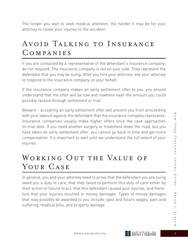The longer you wait to seek medical attention, the harder it may be for your attorney to relate your injuries to the accident.

## Avoid Talking to Insurance Companies

If you are contacted by a representative of the defendant's insurance company, do not respond. The insurance company is not on your side. They represent the defendant that you may be suing. After you hire your attorney, ask your attorney to respond to the insurance company on your behalf.

If the insurance company makes an early settlement offer to you, you should understand that the offer will be low and nowhere near the amount you could possibly receive through settlement or trial.

Beware – accepting an early settlement offer will prevent you from proceeding with your lawsuit against the defendant that the insurance company represents. Insurance companies usually make higher offers once the case approaches its trial date. If you need another surgery or treatment down the road, but you have taken an early settlement offer, you cannot go back in time and get more compensation. It's important to wait until we understand the full extent of your injuries.

## WORKING OUT THE VALUE OF YOUR CASE

In general, you and your attorney need to prove that the defendant you are suing owed you a duty of care, that they failed to perform this duty of care either by their action or failure to act, that this defendant caused your injuries, and therefore that your injuries resulted in money damages. Types of money damages that may possibly be awarded to you include: past and future wages, pain and suffering, medical bills, and property damage.

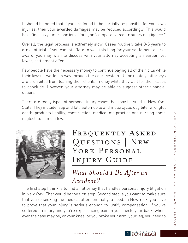It should be noted that if you are found to be partially responsible for your own injuries, then your awarded damages may be reduced accordingly. This would be defined as your proportion of fault, or "comparative/contributory negligence."

Overall, the legal process is extremely slow. Cases routinely take 3-5 years to arrive at trial. If you cannot afford to wait this long for your settlement or trial award, you may wish to discuss with your attorney accepting an earlier, yet lower, settlement offer.

Few people have the necessary money to continue paying all of their bills while their lawsuit works its way through the court system. Unfortunately, attorneys are prohibited from loaning their clients' money while they wait for their cases to conclude. However, your attorney may be able to suggest other financial options.

There are many types of personal injury cases that may be sued in New York State. They include: slip and fall, automobile and motorcycle, dog bite, wrongful death, products liability, construction, medical malpractice and nursing home neglect, to name a few.



FREQUENTLY ASKED Questions | New YORK PERSONAL Injury Guide

#### *What Should I Do After an Accident?*

The first step I think is to find an attorney that handles personal injury litigation in New York. That would be the first step. Second step is you want to make sure that you're seeking the medical attention that you need. In New York, you have to prove that your injury is serious enough to justify compensation. If you've suffered an injury and you're experiencing pain in your neck, your back, wherever the case may be, or your knee, or you broke your arm, your leg, you need to

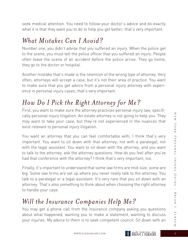seek medical attention. You need to follow your doctor's advice and do exactly what it is that they want you to do to help you get better; that's very important.

#### *What Mistakes Can I Avoid?*

Number one, you didn't advise that you suffered an injury. When the police get to the scene, you must tell the police officer that you suffered an injury. People often leave the scene of an accident before the police arrive. They go home, they go to the doctor or hospital.

Another mistake that's made is the retention of the wrong type of attorney. Very often, attorneys will accept a case, but it's not their area of practice. You want to make sure that you get advice from a personal injury attorney with experience in personal injury cases; that's very important.

## *How Do I Pick the Right Attorney for Me?*

First, you want to make sure the attorney practices personal injury law, specifically personal injury litigation. An estate attorney is not going to help you. They may want to take your case, but they're not experienced in the nuances that exist relevant to personal injury litigation.

You want an attorney that you can feel comfortable with; I think that's very important. You want to sit down with that attorney; not with a paralegal; not with the legal assistant. You want to sit down with the attorney, and you want to talk to the attorney, ask the attorney questions. How do you feel after you've had that conference with the attorney? I think that's very important, too.

Finally, it's important to understand that some law firms are mid-size, some are big. Some law firms are set up where you never really talk to the attorney. You talk to a paralegal or a legal assistant. It's very rare that you sit down with an attorney. That's also something to think about when choosing the right attorney to handle your case.

## *Will the Insurance Companies Help Me?*

You may get a phone call from the insurance company asking you questions about what happened, wanting you to make a statement, wanting to discuss your injuries. My advice to them is to seek competent council. Sit down with an

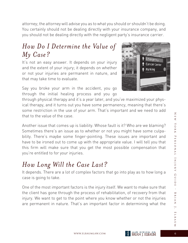attorney; the attorney will advise you as to what you should or shouldn't be doing. You certainly should not be dealing directly with your insurance company, and you should not be dealing directly with the negligent party's insurance carrier.

#### *How Do I Determine the Value of My Case?*

It's not an easy answer. It depends on your injury and the extent of your injury; it depends on whether or not your injuries are permanent in nature, and that may take time to evaluate.

Say you broke your arm in the accident, you go through the initial healing process and you go

through physical therapy and it's a year later, and you've maximized your physical therapy, and it turns out you have some permanency, meaning that there's some restriction in the use of your arm. That's important and we need to add that to the value of the case.

Another issue that comes up is liability. Whose fault is it? Who are we blaming? Sometimes there's an issue as to whether or not you might have some culpability. There's maybe some finger-pointing. These issues are important and have to be ironed out to come up with the appropriate value. I will tell you that this firm will make sure that you get the most possible compensation that you're entitled to for your injuries.

#### *How Long Will the Case Last?*

It depends. There are a lot of complex factors that go into play as to how long a case is going to take.

One of the most important factors is the injury itself. We want to make sure that the client has gone through the process of rehabilitation, of recovery from that injury. We want to get to the point where you know whether or not the injuries are permanent in nature. That's an important factor in determining what the







 $\overline{\mathsf{z}}$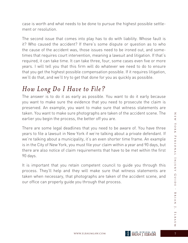case is worth and what needs to be done to pursue the highest possible settlement or resolution.

The second issue that comes into play has to do with liability. Whose fault is it? Who caused the accident? If there's some dispute or question as to who the cause of the accident was, those issues need to be ironed out, and sometimes that requires court intervention, meaning a lawsuit and litigation. If that's required, it can take time. It can take three, four, some cases even five or more years. I will tell you that this firm will do whatever we need to do to ensure that you get the highest possible compensation possible. If it requires litigation, we'll do that, and we'll try to get that done for you as quickly as possible.

#### *How Long Do I Have to File?*

The answer is to do it as early as possible. You want to do it early because you want to make sure the evidence that you need to prosecute the claim is preserved. An example, you want to make sure that witness statements are taken. You want to make sure photographs are taken of the accident scene. The earlier you begin the process, the better off you are.

There are some legal deadlines that you need to be aware of. You have three years to file a lawsuit in New York if we're talking about a private defendant. If we're talking about a municipality, it's an even shorter time frame. An example is in the City of New York, you must file your claim within a year and 90 days, but there are also notice of claim requirements that have to be met within the first 90 days.

It is important that you retain competent council to guide you through this process. They'll help and they will make sure that witness statements are taken when necessary, that photographs are taken of the accident scene, and our office can properly guide you through that process.

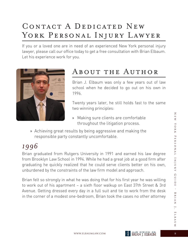## CONTACT A DEDICATED NEW YORK PERSONAL INJURY LAWYER

If you or a loved one are in need of an experienced New York personal injury lawyer, please call our office today to get a free consultation with Brian Elbaum. Let his experience work for you.



## About the Author

Brian J. Elbaum was only a few years out of law school when he decided to go out on his own in 1996.

Twenty years later, he still holds fast to the same two winning principles:

- » Making sure clients are comfortable throughout the litigation process.
- » Achieving great results by being aggressive and making the responsible party constantly uncomfortable.

### *1996*

Brian graduated from Rutgers University in 1991 and earned his law degree from Brooklyn Law School in 1994. While he had a great job at a good firm after graduating he quickly realized that he could serve clients better on his own, unburdened by the constraints of the law firm model and approach.

Brian felt so strongly in what he was doing that for his first year he was willing to work out of his apartment – a sixth floor walkup on East 37th Street & 3rd Avenue. Getting dressed every day in a full suit and tie to work from the desk in the corner of a modest one-bedroom, Brian took the cases no other attorney

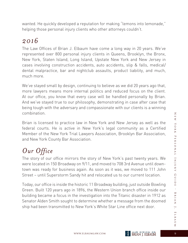wanted. He quickly developed a reputation for making "lemons into lemonade," helping those personal injury clients who other attorneys couldn't.

#### *2016*

The Law Offices of Brian J. Elbaum have come a long way in 20 years. We've represented over 800 personal injury clients in Queens, Brooklyn, the Bronx, New York, Staten Island, Long Island, Upstate New York and New Jersey in cases involving construction accidents, auto accidents, slip & falls, medical/ dental malpractice, bar and nightclub assaults, product liability, and much, much more.

We've stayed small by design, continuing to believe as we did 20 years ago that, more lawyers means more internal politics and reduced focus on the client. At our office, you know that every case will be handled personally by Brian. And we've stayed true to our philosophy, demonstrating in case after case that being tough with the adversary and compassionate with our clients is a winning combination.

Brian is licensed to practice law in New York and New Jersey as well as the federal courts. He is active in New York's legal community as a Certified Member of the New York Trial Lawyers Association, Brooklyn Bar Association, and New York County Bar Association.

## *Our Office*

The story of our office mirrors the story of New York's past twenty years. We were located in 150 Broadway on 9/11, and moved to 708 3rd Avenue until downtown was ready for business again. As soon as it was, we moved to 111 John Street – until Superstorm Sandy hit and relocated us to our current location.

Today, our office is inside the historic 11 Broadway building, just outside Bowling Green. Built 120 years ago in 1896, the Western Union branch office inside our building became a focus in the investigation into the Titanic disaster in 1912 as Senator Alden Smith sought to determine whether a message from the doomed ship had been transmitted to New York's White Star Line office next door.

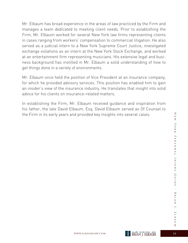Mr. Elbaum has broad experience in the areas of law practiced by the Firm and manages a team dedicated to meeting client needs. Prior to establishing the Firm, Mr. Elbaum worked for several New York law firms representing clients in cases ranging from workers' compensation to commercial litigation. He also served as a judicial intern to a New York Supreme Court Justice, investigated exchange violations as an intern at the New York Stock Exchange, and worked at an entertainment firm representing musicians. His extensive legal and business background has instilled in Mr. Elbaum a solid understanding of how to get things done in a variety of environments.

Mr. Elbaum once held the position of Vice President at an insurance company, for which he provided advisory services. This position has enabled him to gain an insider's view of the insurance industry. He translates that insight into solid advice for his clients on insurance-related matters.

In establishing the Firm, Mr. Elbaum received guidance and inspiration from his father, the late David Elbaum, Esq. David Elbaum served as Of Counsel to the Firm in its early years and provided key insights into several cases.